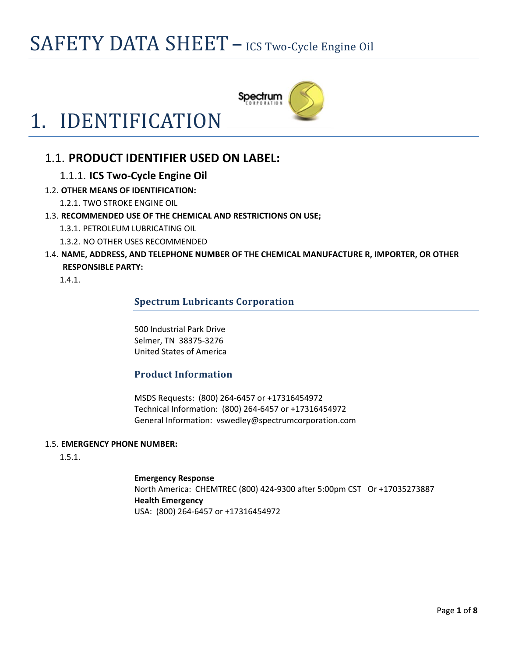## SAFETY DATA SHEET - ICS Two-Cycle Engine Oil

Spectrum

# 1. IDENTIFICATION

### 1.1. **PRODUCT IDENTIFIER USED ON LABEL:**

### 1.1.1. **ICS Two‐Cycle Engine Oil**

### 1.2. **OTHER MEANS OF IDENTIFICATION:**

1.2.1. TWO STROKE ENGINE OIL

- 1.3. **RECOMMENDED USE OF THE CHEMICAL AND RESTRICTIONS ON USE;**
	- 1.3.1. PETROLEUM LUBRICATING OIL
	- 1.3.2. NO OTHER USES RECOMMENDED
- 1.4. **NAME, ADDRESS, AND TELEPHONE NUMBER OF THE CHEMICAL MANUFACTURE R, IMPORTER, OR OTHER RESPONSIBLE PARTY:**

1.4.1.

### **Spectrum Lubricants Corporation**

500 Industrial Park Drive Selmer, TN 38375‐3276 United States of America

### **Product Information**

MSDS Requests: (800) 264‐6457 or +17316454972 Technical Information: (800) 264‐6457 or +17316454972 General Information: vswedley@spectrumcorporation.com

### 1.5. **EMERGENCY PHONE NUMBER:**

1.5.1.

**Emergency Response** North America: CHEMTREC (800) 424‐9300 after 5:00pm CST Or +17035273887 **Health Emergency** USA: (800) 264‐6457 or +17316454972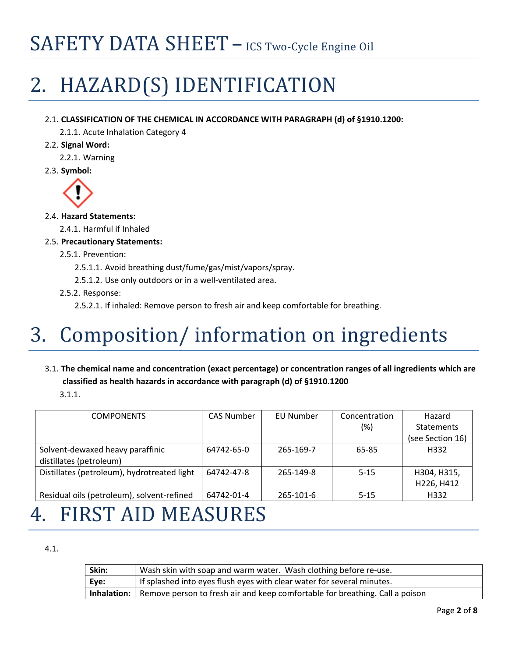# SAFETY DATA SHEET - ICS Two-Cycle Engine Oil

# 2. HAZARD(S) IDENTIFICATION

### 2.1. **CLASSIFICATION OF THE CHEMICAL IN ACCORDANCE WITH PARAGRAPH (d) of §1910.1200:**

2.1.1. Acute Inhalation Category 4

2.2. **Signal Word:**

2.2.1. Warning

2.3. **Symbol:**



### 2.4. **Hazard Statements:**

2.4.1. Harmful if Inhaled

- 2.5. **Precautionary Statements:**
	- 2.5.1. Prevention:
		- 2.5.1.1. Avoid breathing dust/fume/gas/mist/vapors/spray.
		- 2.5.1.2. Use only outdoors or in a well‐ventilated area.
	- 2.5.2. Response:

2.5.2.1. If inhaled: Remove person to fresh air and keep comfortable for breathing.

# 3. Composition/ information on ingredients

### 3.1. **The chemical name and concentration (exact percentage) or concentration ranges of all ingredients which are classified as health hazards in accordance with paragraph (d) of §1910.1200**

3.1.1.

| <b>COMPONENTS</b>                           | <b>CAS Number</b> | EU Number | Concentration | Hazard            |
|---------------------------------------------|-------------------|-----------|---------------|-------------------|
|                                             |                   |           | $(\%)$        | <b>Statements</b> |
|                                             |                   |           |               | (see Section 16)  |
| Solvent-dewaxed heavy paraffinic            | 64742-65-0        | 265-169-7 | 65-85         | H332              |
| distillates (petroleum)                     |                   |           |               |                   |
| Distillates (petroleum), hydrotreated light | 64742-47-8        | 265-149-8 | $5 - 15$      | H304, H315,       |
|                                             |                   |           |               | H226, H412        |
| Residual oils (petroleum), solvent-refined  | 64742-01-4        | 265-101-6 | $5 - 15$      | H332              |

### 4. FIRST AID MEASURES

4.1.

| Skin: | Wash skin with soap and warm water. Wash clothing before re-use.                                |
|-------|-------------------------------------------------------------------------------------------------|
| Eye:  | If splashed into eyes flush eyes with clear water for several minutes.                          |
|       | <b>Inhalation:</b> Remove person to fresh air and keep comfortable for breathing. Call a poison |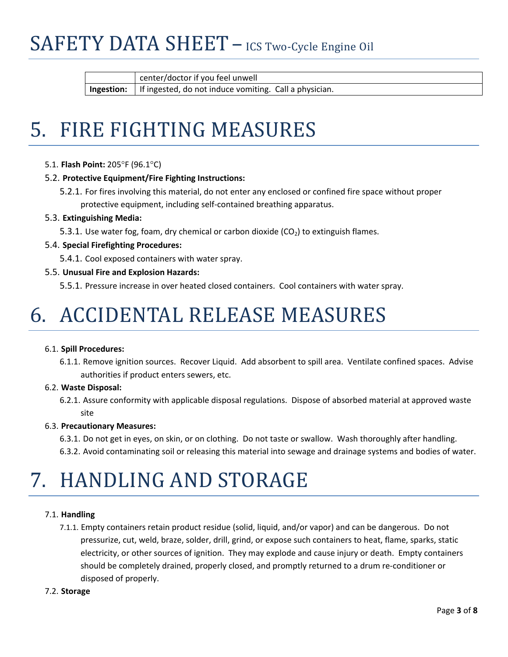## SAFETY DATA SHEET – ICS Two-Cycle Engine Oil

center/doctor if you feel unwell

**Ingestion:** If ingested, do not induce vomiting. Call a physician.

# 5. FIRE FIGHTING MEASURES

5.1. **Flash Point:** 205°F (96.1°C)

### 5.2. **Protective Equipment/Fire Fighting Instructions:**

5.2.1. For fires involving this material, do not enter any enclosed or confined fire space without proper protective equipment, including self‐contained breathing apparatus.

### 5.3. **Extinguishing Media:**

5.3.1. Use water fog, foam, dry chemical or carbon dioxide  $(CO<sub>2</sub>)$  to extinguish flames.

### 5.4. **Special Firefighting Procedures:**

5.4.1. Cool exposed containers with water spray.

### 5.5. **Unusual Fire and Explosion Hazards:**

5.5.1. Pressure increase in over heated closed containers. Cool containers with water spray.

# 6. ACCIDENTAL RELEASE MEASURES

### 6.1. **Spill Procedures:**

6.1.1. Remove ignition sources. Recover Liquid. Add absorbent to spill area. Ventilate confined spaces. Advise authorities if product enters sewers, etc.

### 6.2. **Waste Disposal:**

6.2.1. Assure conformity with applicable disposal regulations. Dispose of absorbed material at approved waste site

### 6.3. **Precautionary Measures:**

6.3.1. Do not get in eyes, on skin, or on clothing. Do not taste or swallow. Wash thoroughly after handling. 6.3.2. Avoid contaminating soil or releasing this material into sewage and drainage systems and bodies of water.

# 7. HANDLING AND STORAGE

### 7.1. **Handling**

7.1.1. Empty containers retain product residue (solid, liquid, and/or vapor) and can be dangerous. Do not pressurize, cut, weld, braze, solder, drill, grind, or expose such containers to heat, flame, sparks, static electricity, or other sources of ignition. They may explode and cause injury or death. Empty containers should be completely drained, properly closed, and promptly returned to a drum re‐conditioner or disposed of properly.

### 7.2. **Storage**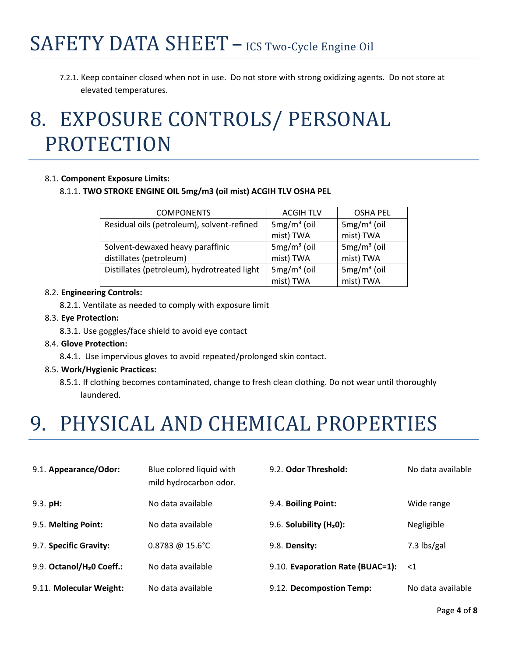7.2.1. Keep container closed when not in use. Do not store with strong oxidizing agents. Do not store at elevated temperatures.

# 8. EXPOSURE CONTROLS/ PERSONAL PROTECTION

### 8.1. **Component Exposure Limits:**

### 8.1.1. **TWO STROKE ENGINE OIL 5mg/m3 (oil mist) ACGIH TLV OSHA PEL**

| <b>COMPONENTS</b>                           | <b>ACGIH TLV</b> | <b>OSHA PEL</b> |
|---------------------------------------------|------------------|-----------------|
| Residual oils (petroleum), solvent-refined  | $5mg/m3$ (oil    | $5mg/m3$ (oil   |
|                                             | mist) TWA        | mist) TWA       |
| Solvent-dewaxed heavy paraffinic            | $5mg/m3$ (oil    | $5mg/m3$ (oil   |
| distillates (petroleum)                     | mist) TWA        | mist) TWA       |
| Distillates (petroleum), hydrotreated light | $5mg/m3$ (oil    | $5mg/m3$ (oil   |
|                                             | mist) TWA        | mist) TWA       |

#### 8.2. **Engineering Controls:**

8.2.1. Ventilate as needed to comply with exposure limit

### 8.3. **Eye Protection:**

8.3.1. Use goggles/face shield to avoid eye contact

### 8.4. **Glove Protection:**

8.4.1. Use impervious gloves to avoid repeated/prolonged skin contact.

### 8.5. **Work/Hygienic Practices:**

8.5.1. If clothing becomes contaminated, change to fresh clean clothing. Do not wear until thoroughly laundered.

### 9. PHYSICAL AND CHEMICAL PROPERTIES

| 9.1. Appearance/Odor:                 | Blue colored liquid with<br>mild hydrocarbon odor. | 9.2. Odor Threshold:             | No data available |
|---------------------------------------|----------------------------------------------------|----------------------------------|-------------------|
| $9.3.$ pH:                            | No data available                                  | 9.4. Boiling Point:              | Wide range        |
| 9.5. Melting Point:                   | No data available                                  | 9.6. Solubility $(H20)$ :        | Negligible        |
| 9.7. Specific Gravity:                | $0.8783 \ @ 15.6^{\circ}$ C                        | 9.8. Density:                    | 7.3 $\frac{1}{2}$ |
| 9.9. Octanol/H <sub>2</sub> 0 Coeff.: | No data available                                  | 9.10. Evaporation Rate (BUAC=1): | $\leq 1$          |
| 9.11. Molecular Weight:               | No data available                                  | 9.12. Decompostion Temp:         | No data available |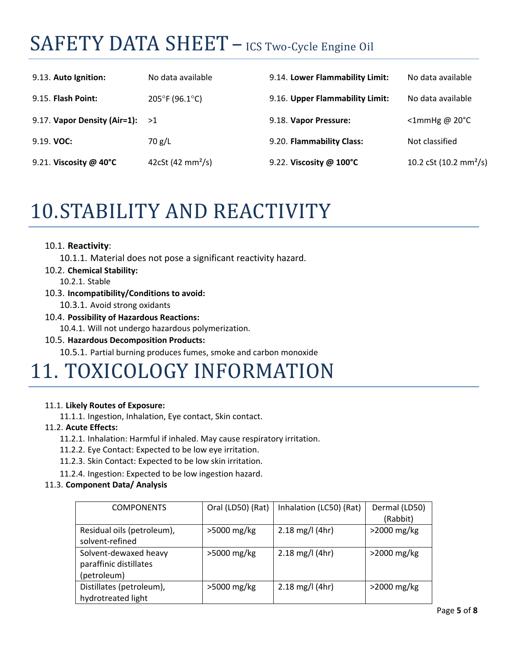## SAFETY DATA SHEET – ICS Two-Cycle Engine Oil

| 9.13. Auto Ignition:              | No data available                   | 9.14. Lower Flammability Limit:   | No data available                  |
|-----------------------------------|-------------------------------------|-----------------------------------|------------------------------------|
| 9.15. Flash Point:                | $205^{\circ}$ F (96.1 $^{\circ}$ C) | 9.16. Upper Flammability Limit:   | No data available                  |
| 9.17. Vapor Density (Air=1): $>1$ |                                     | 9.18. Vapor Pressure:             | $\leq$ 1mmHg @ 20 $\degree$ C      |
| $9.19.$ VOC:                      | 70 g/L                              | 9.20. Flammability Class:         | Not classified                     |
| 9.21. Viscosity @ $40^{\circ}$ C  | 42cSt (42 mm <sup>2</sup> /s)       | 9.22. Viscosity @ $100^{\circ}$ C | 10.2 cSt (10.2 mm <sup>2</sup> /s) |

### 10.STABILITY AND REACTIVITY

### 10.1. **Reactivity**:

- 10.1.1. Material does not pose a significant reactivity hazard.
- 10.2. **Chemical Stability:**
	- 10.2.1. Stable
- 10.3. **Incompatibility/Conditions to avoid:**
	- 10.3.1. Avoid strong oxidants
- 10.4. **Possibility of Hazardous Reactions:** 10.4.1. Will not undergo hazardous polymerization.

### 10.5. **Hazardous Decomposition Products:**

10.5.1. Partial burning produces fumes, smoke and carbon monoxide

### 11. TOXICOLOGY INFORMATION

### 11.1. **Likely Routes of Exposure:**

11.1.1. Ingestion, Inhalation, Eye contact, Skin contact.

### 11.2. **Acute Effects:**

- 11.2.1. Inhalation: Harmful if inhaled. May cause respiratory irritation.
- 11.2.2. Eye Contact: Expected to be low eye irritation.
- 11.2.3. Skin Contact: Expected to be low skin irritation.
- 11.2.4. Ingestion: Expected to be low ingestion hazard.

### 11.3. **Component Data/ Analysis**

| <b>COMPONENTS</b>          | Oral (LD50) (Rat) | Inhalation (LC50) (Rat)   | Dermal (LD50)<br>(Rabbit) |
|----------------------------|-------------------|---------------------------|---------------------------|
|                            |                   |                           |                           |
| Residual oils (petroleum), | >5000 mg/kg       | $2.18$ mg/l (4hr)         | $>2000$ mg/kg             |
| solvent-refined            |                   |                           |                           |
| Solvent-dewaxed heavy      | >5000 mg/kg       | $2.18 \text{ mg/l}$ (4hr) | $>2000$ mg/kg             |
| paraffinic distillates     |                   |                           |                           |
|                            |                   |                           |                           |
| (petroleum)                |                   |                           |                           |
| Distillates (petroleum),   | >5000 mg/kg       | $2.18 \text{ mg/l}$ (4hr) | $>2000$ mg/kg             |
| hydrotreated light         |                   |                           |                           |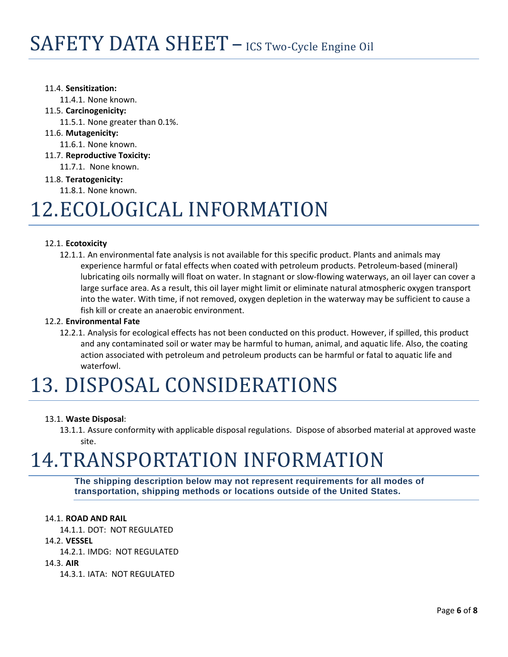### 11.4. **Sensitization:**

11.4.1. None known.

### 11.5. **Carcinogenicity:**

11.5.1. None greater than 0.1%.

11.6. **Mutagenicity:**

11.6.1. None known.

11.7. **Reproductive Toxicity:** 

11.7.1. None known.

### 11.8. **Teratogenicity:**

11.8.1. None known.

### 12.ECOLOGICAL INFORMATION

### 12.1. **Ecotoxicity**

12.1.1. An environmental fate analysis is not available for this specific product. Plants and animals may experience harmful or fatal effects when coated with petroleum products. Petroleum‐based (mineral) lubricating oils normally will float on water. In stagnant or slow‐flowing waterways, an oil layer can cover a large surface area. As a result, this oil layer might limit or eliminate natural atmospheric oxygen transport into the water. With time, if not removed, oxygen depletion in the waterway may be sufficient to cause a fish kill or create an anaerobic environment.

### 12.2. **Environmental Fate**

12.2.1. Analysis for ecological effects has not been conducted on this product. However, if spilled, this product and any contaminated soil or water may be harmful to human, animal, and aquatic life. Also, the coating action associated with petroleum and petroleum products can be harmful or fatal to aquatic life and waterfowl.

# 13. DISPOSAL CONSIDERATIONS

### 13.1. **Waste Disposal**:

13.1.1. Assure conformity with applicable disposal regulations. Dispose of absorbed material at approved waste site.

# 14.TRANSPORTATION INFORMATION

**The shipping description below may not represent requirements for all modes of transportation, shipping methods or locations outside of the United States.**

### 14.1. **ROAD AND RAIL**

14.1.1. DOT: NOT REGULATED

### 14.2. **VESSEL**

14.2.1. IMDG: NOT REGULATED

14.3. **AIR**

14.3.1. IATA: NOT REGULATED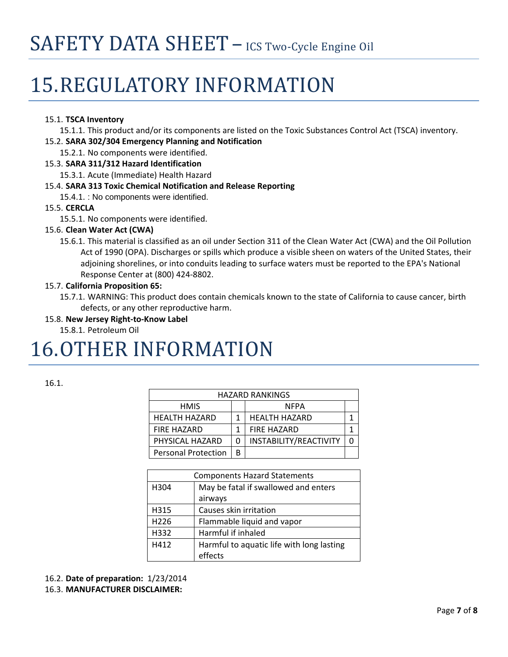# 15. REGULATORY INFORMATION

### 15.1. **TSCA Inventory**

15.1.1. This product and/or its components are listed on the Toxic Substances Control Act (TSCA) inventory.

- 15.2. **SARA 302/304 Emergency Planning and Notification**
	- 15.2.1. No components were identified.
- 15.3. **SARA 311/312 Hazard Identification**
	- 15.3.1. Acute (Immediate) Health Hazard

### 15.4. **SARA 313 Toxic Chemical Notification and Release Reporting**

15.4.1. : No components were identified.

### 15.5. **CERCLA**

15.5.1. No components were identified.

### 15.6. **Clean Water Act (CWA)**

15.6.1. This material is classified as an oil under Section 311 of the Clean Water Act (CWA) and the Oil Pollution Act of 1990 (OPA). Discharges or spills which produce a visible sheen on waters of the United States, their adjoining shorelines, or into conduits leading to surface waters must be reported to the EPA's National Response Center at (800) 424‐8802.

### 15.7. **California Proposition 65:**

15.7.1. WARNING: This product does contain chemicals known to the state of California to cause cancer, birth defects, or any other reproductive harm.

### 15.8. **New Jersey Right‐to‐Know Label**

15.8.1. Petroleum Oil

### 16.OTHER INFORMATION

| ×<br>۹ |  |  |
|--------|--|--|

| <b>HAZARD RANKINGS</b>     |   |                        |  |
|----------------------------|---|------------------------|--|
| <b>HMIS</b>                |   | NFPA                   |  |
| <b>HEALTH HAZARD</b>       |   | <b>HEALTH HAZARD</b>   |  |
| <b>FIRE HAZARD</b>         |   | <b>FIRE HAZARD</b>     |  |
| PHYSICAL HAZARD            | 0 | INSTABILITY/REACTIVITY |  |
| <b>Personal Protection</b> | B |                        |  |

|      | <b>Components Hazard Statements</b>       |
|------|-------------------------------------------|
| H304 | May be fatal if swallowed and enters      |
|      | airways                                   |
| H315 | Causes skin irritation                    |
| H226 | Flammable liquid and vapor                |
| H332 | Harmful if inhaled                        |
| H412 | Harmful to aquatic life with long lasting |
|      | effects                                   |

```
16.2. Date of preparation:  1/23/2014
```
### 16.3. **MANUFACTURER DISCLAIMER:**